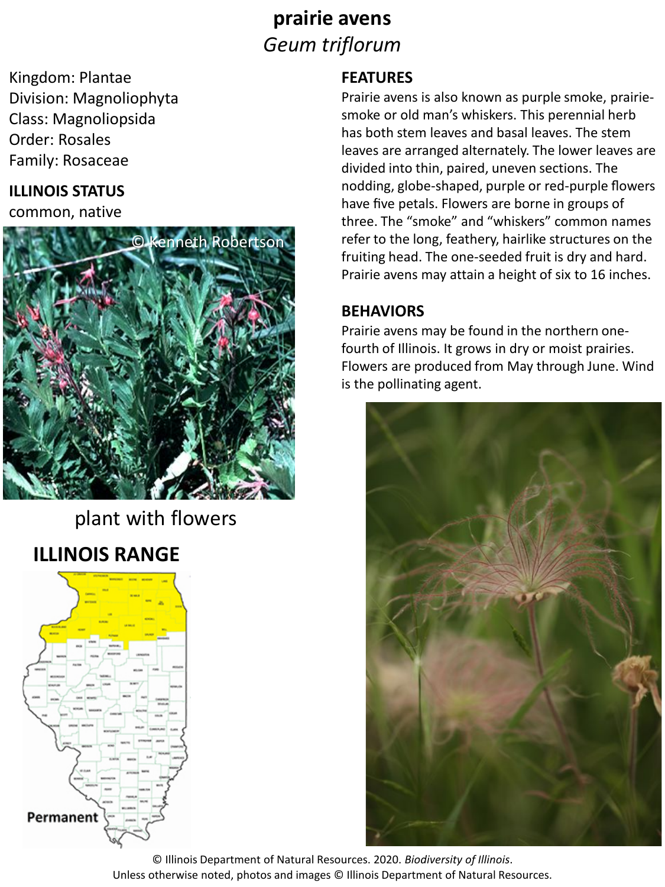# **prairie avens** *Geum triflorum*

Kingdom: Plantae Division: Magnoliophyta Class: Magnoliopsida Order: Rosales Family: Rosaceae

#### **ILLINOIS STATUS**

common, native



plant with flowers

# **ILLINOIS RANGE**



#### **FEATURES**

Prairie avens is also known as purple smoke, prairiesmoke or old man's whiskers. This perennial herb has both stem leaves and basal leaves. The stem leaves are arranged alternately. The lower leaves are divided into thin, paired, uneven sections. The nodding, globe-shaped, purple or red-purple flowers have five petals. Flowers are borne in groups of three. The "smoke" and "whiskers" common names refer to the long, feathery, hairlike structures on the fruiting head. The one-seeded fruit is dry and hard. Prairie avens may attain a height of six to 16 inches.

#### **BEHAVIORS**

Prairie avens may be found in the northern onefourth of Illinois. It grows in dry or moist prairies. Flowers are produced from May through June. Wind is the pollinating agent.



© Illinois Department of Natural Resources. 2020. *Biodiversity of Illinois*. Unless otherwise noted, photos and images © Illinois Department of Natural Resources.